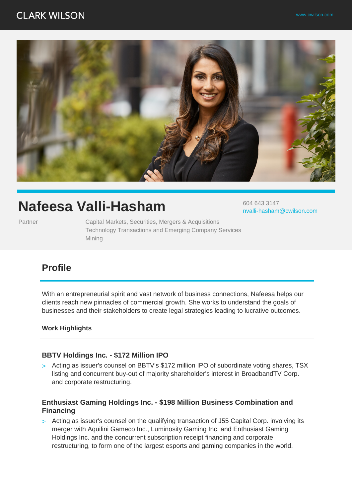# **CLARK WILSON**



# **Nafeesa Valli-Hasham**

Partner **Capital Markets, Securities, Mergers & Acquisitions** Technology Transactions and Emerging Company Services Mining

604 643 3147 nvalli-hasham@cwilson.com

# **Profile**

With an entrepreneurial spirit and vast network of business connections, Nafeesa helps our clients reach new pinnacles of commercial growth. She works to understand the goals of businesses and their stakeholders to create legal strategies leading to lucrative outcomes.

#### **Work Highlights**

#### **BBTV Holdings Inc. - \$172 Million IPO**

> Acting as issuer's counsel on BBTV's \$172 million IPO of subordinate voting shares, TSX listing and concurrent buy-out of majority shareholder's interest in BroadbandTV Corp. and corporate restructuring.

#### **Enthusiast Gaming Holdings Inc. - \$198 Million Business Combination and Financing**

> Acting as issuer's counsel on the qualifying transaction of J55 Capital Corp. involving its merger with Aquilini Gameco Inc., Luminosity Gaming Inc. and Enthusiast Gaming Holdings Inc. and the concurrent subscription receipt financing and corporate restructuring, to form one of the largest esports and gaming companies in the world.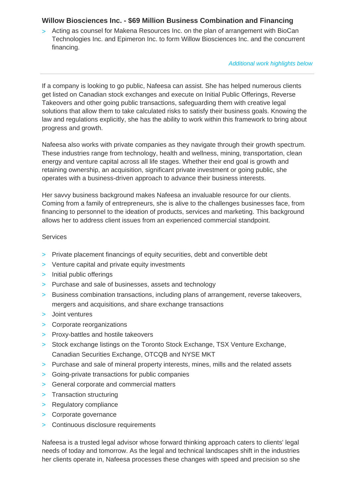# **Willow Biosciences Inc. - \$69 Million Business Combination and Financing**

> Acting as counsel for Makena Resources Inc. on the plan of arrangement with BioCan Technologies Inc. and Epimeron Inc. to form Willow Biosciences Inc. and the concurrent financing.

Additional work highlights below

If a company is looking to go public, Nafeesa can assist. She has helped numerous clients get listed on Canadian stock exchanges and execute on Initial Public Offerings, Reverse Takeovers and other going public transactions, safeguarding them with creative legal solutions that allow them to take calculated risks to satisfy their business goals. Knowing the law and regulations explicitly, she has the ability to work within this framework to bring about progress and growth.

Nafeesa also works with private companies as they navigate through their growth spectrum. These industries range from technology, health and wellness, mining, transportation, clean energy and venture capital across all life stages. Whether their end goal is growth and retaining ownership, an acquisition, significant private investment or going public, she operates with a business-driven approach to advance their business interests.

Her savvy business background makes Nafeesa an invaluable resource for our clients. Coming from a family of entrepreneurs, she is alive to the challenges businesses face, from financing to personnel to the ideation of products, services and marketing. This background allows her to address client issues from an experienced commercial standpoint.

#### **Services**

- > Private placement financings of equity securities, debt and convertible debt
- > Venture capital and private equity investments
- > Initial public offerings
- > Purchase and sale of businesses, assets and technology
- > Business combination transactions, including plans of arrangement, reverse takeovers, mergers and acquisitions, and share exchange transactions
- > Joint ventures
- > Corporate reorganizations
- > Proxy-battles and hostile takeovers
- > Stock exchange listings on the Toronto Stock Exchange, TSX Venture Exchange, Canadian Securities Exchange, OTCQB and NYSE MKT
- > Purchase and sale of mineral property interests, mines, mills and the related assets
- > Going-private transactions for public companies
- > General corporate and commercial matters
- > Transaction structuring
- > Regulatory compliance
- > Corporate governance
- > Continuous disclosure requirements

Nafeesa is a trusted legal advisor whose forward thinking approach caters to clients' legal needs of today and tomorrow. As the legal and technical landscapes shift in the industries her clients operate in, Nafeesa processes these changes with speed and precision so she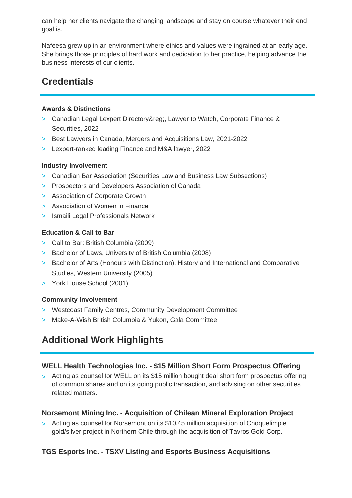can help her clients navigate the changing landscape and stay on course whatever their end goal is.

Nafeesa grew up in an environment where ethics and values were ingrained at an early age. She brings those principles of hard work and dedication to her practice, helping advance the business interests of our clients.

# **Credentials**

### **Awards & Distinctions**

- > Canadian Legal Lexpert Directory®, Lawyer to Watch, Corporate Finance & Securities, 2022
- > Best Lawyers in Canada, Mergers and Acquisitions Law, 2021-2022
- > Lexpert-ranked leading Finance and M&A lawyer, 2022

### **Industry Involvement**

- > Canadian Bar Association (Securities Law and Business Law Subsections)
- > Prospectors and Developers Association of Canada
- > Association of Corporate Growth
- > Association of Women in Finance
- > Ismaili Legal Professionals Network

### **Education & Call to Bar**

- > Call to Bar: British Columbia (2009)
- > Bachelor of Laws, University of British Columbia (2008)
- > Bachelor of Arts (Honours with Distinction), History and International and Comparative Studies, Western University (2005)
- > York House School (2001)

# **Community Involvement**

- > Westcoast Family Centres, Community Development Committee
- > Make-A-Wish British Columbia & Yukon, Gala Committee

# **Additional Work Highlights**

# **WELL Health Technologies Inc. - \$15 Million Short Form Prospectus Offering**

> Acting as counsel for WELL on its \$15 million bought deal short form prospectus offering of common shares and on its going public transaction, and advising on other securities related matters.

# **Norsemont Mining Inc. - Acquisition of Chilean Mineral Exploration Project**

> Acting as counsel for Norsemont on its \$10.45 million acquisition of Choquelimpie gold/silver project in Northern Chile through the acquisition of Tavros Gold Corp.

# **TGS Esports Inc. - TSXV Listing and Esports Business Acquisitions**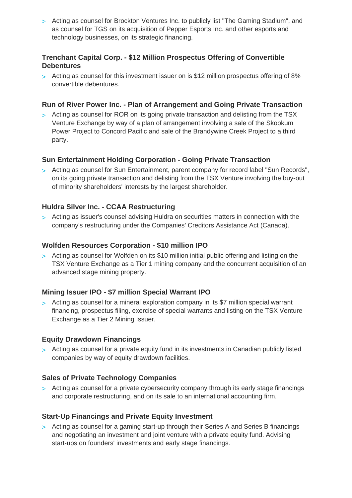> Acting as counsel for Brockton Ventures Inc. to publicly list "The Gaming Stadium", and as counsel for TGS on its acquisition of Pepper Esports Inc. and other esports and technology businesses, on its strategic financing.

# **Trenchant Capital Corp. - \$12 Million Prospectus Offering of Convertible Debentures**

> Acting as counsel for this investment issuer on is \$12 million prospectus offering of 8% convertible debentures.

### **Run of River Power Inc. - Plan of Arrangement and Going Private Transaction**

> Acting as counsel for ROR on its going private transaction and delisting from the TSX Venture Exchange by way of a plan of arrangement involving a sale of the Skookum Power Project to Concord Pacific and sale of the Brandywine Creek Project to a third party.

# **Sun Entertainment Holding Corporation - Going Private Transaction**

> Acting as counsel for Sun Entertainment, parent company for record label "Sun Records", on its going private transaction and delisting from the TSX Venture involving the buy-out of minority shareholders' interests by the largest shareholder.

### **Huldra Silver Inc. - CCAA Restructuring**

> Acting as issuer's counsel advising Huldra on securities matters in connection with the company's restructuring under the Companies' Creditors Assistance Act (Canada).

#### **Wolfden Resources Corporation - \$10 million IPO**

> Acting as counsel for Wolfden on its \$10 million initial public offering and listing on the TSX Venture Exchange as a Tier 1 mining company and the concurrent acquisition of an advanced stage mining property.

# **Mining Issuer IPO - \$7 million Special Warrant IPO**

> Acting as counsel for a mineral exploration company in its \$7 million special warrant financing, prospectus filing, exercise of special warrants and listing on the TSX Venture Exchange as a Tier 2 Mining Issuer.

#### **Equity Drawdown Financings**

> Acting as counsel for a private equity fund in its investments in Canadian publicly listed companies by way of equity drawdown facilities.

#### **Sales of Private Technology Companies**

> Acting as counsel for a private cybersecurity company through its early stage financings and corporate restructuring, and on its sale to an international accounting firm.

#### **Start-Up Financings and Private Equity Investment**

> Acting as counsel for a gaming start-up through their Series A and Series B financings and negotiating an investment and joint venture with a private equity fund. Advising start-ups on founders' investments and early stage financings.